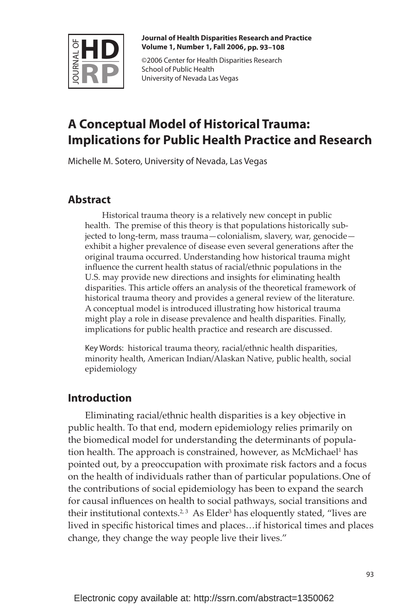

**Journal of Health Disparities Research and Practice Volume 1, Number 1, Fall 2006 , pp. 93–108**

©2006 Center for Health Disparities Research School of Public Health University of Nevada Las Vegas

# **A Conceptual Model of Historical Trauma: Implications for Public Health Practice and Research**

Michelle M. Sotero, University of Nevada, Las Vegas

## **Abstract**

Historical trauma theory is a relatively new concept in public health. The premise of this theory is that populations historically subjected to long-term, mass trauma—colonialism, slavery, war, genocide exhibit a higher prevalence of disease even several generations after the original trauma occurred. Understanding how historical trauma might influence the current health status of racial/ethnic populations in the U.S. may provide new directions and insights for eliminating health disparities. This article offers an analysis of the theoretical framework of historical trauma theory and provides a general review of the literature. A conceptual model is introduced illustrating how historical trauma might play a role in disease prevalence and health disparities. Finally, implications for public health practice and research are discussed.

Key Words: historical trauma theory, racial/ethnic health disparities, minority health, American Indian/Alaskan Native, public health, social epidemiology

### **Introduction**

Eliminating racial/ethnic health disparities is a key objective in public health. To that end, modern epidemiology relies primarily on the biomedical model for understanding the determinants of population health. The approach is constrained, however, as McMichael<sup>1</sup> has pointed out, by a preoccupation with proximate risk factors and a focus on the health of individuals rather than of particular populations.One of the contributions of social epidemiology has been to expand the search for causal influences on health to social pathways, social transitions and their institutional contexts.<sup>2,3</sup> As Elder<sup>3</sup> has eloquently stated, "lives are lived in specific historical times and places...if historical times and places change, they change the way people live their lives."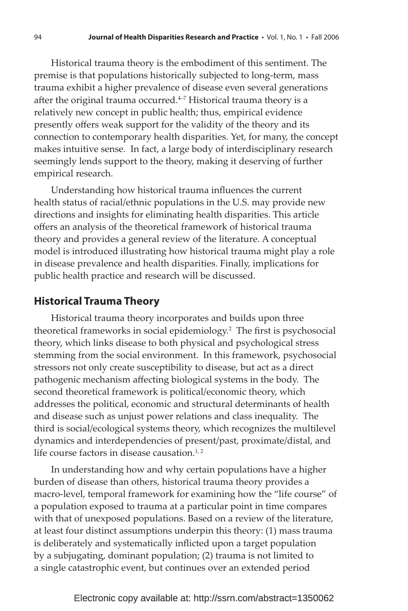Historical trauma theory is the embodiment of this sentiment. The premise is that populations historically subjected to long-term, mass trauma exhibit a higher prevalence of disease even several generations after the original trauma occurred. $4-7$  Historical trauma theory is a relatively new concept in public health; thus, empirical evidence presently offers weak support for the validity of the theory and its connection to contemporary health disparities. Yet, for many, the concept makes intuitive sense. In fact, a large body of interdisciplinary research seemingly lends support to the theory, making it deserving of further empirical research.

Understanding how historical trauma influences the current health status of racial/ethnic populations in the U.S. may provide new directions and insights for eliminating health disparities. This article offers an analysis of the theoretical framework of historical trauma theory and provides a general review of the literature. A conceptual model is introduced illustrating how historical trauma might play a role in disease prevalence and health disparities. Finally, implications for public health practice and research will be discussed.

#### **Historical Trauma Theory**

Historical trauma theory incorporates and builds upon three theoretical frameworks in social epidemiology.<sup>2</sup> The first is psychosocial theory, which links disease to both physical and psychological stress stemming from the social environment. In this framework, psychosocial stressors not only create susceptibility to disease, but act as a direct pathogenic mechanism affecting biological systems in the body. The second theoretical framework is political/economic theory, which addresses the political, economic and structural determinants of health and disease such as unjust power relations and class inequality. The third is social/ecological systems theory, which recognizes the multilevel dynamics and interdependencies of present/past, proximate/distal, and life course factors in disease causation. $1/2$ 

In understanding how and why certain populations have a higher burden of disease than others, historical trauma theory provides a macro-level, temporal framework for examining how the "life course" of a population exposed to trauma at a particular point in time compares with that of unexposed populations. Based on a review of the literature, at least four distinct assumptions underpin this theory: (1) mass trauma is deliberately and systematically inflicted upon a target population by a subjugating, dominant population; (2) trauma is not limited to a single catastrophic event, but continues over an extended period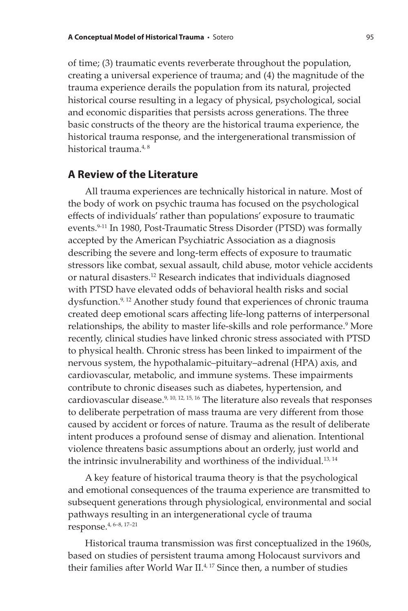of time; (3) traumatic events reverberate throughout the population, creating a universal experience of trauma; and (4) the magnitude of the trauma experience derails the population from its natural, projected historical course resulting in a legacy of physical, psychological, social and economic disparities that persists across generations. The three basic constructs of the theory are the historical trauma experience, the historical trauma response, and the intergenerational transmission of historical trauma.<sup>4,8</sup>

#### **A Review of the Literature**

All trauma experiences are technically historical in nature. Most of the body of work on psychic trauma has focused on the psychological effects of individuals' rather than populations' exposure to traumatic events.<sup>9-11</sup> In 1980, Post-Traumatic Stress Disorder (PTSD) was formally accepted by the American Psychiatric Association as a diagnosis describing the severe and long-term effects of exposure to traumatic stressors like combat, sexual assault, child abuse, motor vehicle accidents or natural disasters.12 Research indicates that individuals diagnosed with PTSD have elevated odds of behavioral health risks and social dysfunction.9, 12 Another study found that experiences of chronic trauma created deep emotional scars affecting life-long patterns of interpersonal relationships, the ability to master life-skills and role performance.9 More recently, clinical studies have linked chronic stress associated with PTSD to physical health. Chronic stress has been linked to impairment of the nervous system, the hypothalamic–pituitary–adrenal (HPA) axis, and cardiovascular, metabolic, and immune systems. These impairments contribute to chronic diseases such as diabetes, hypertension, and cardiovascular disease. $9, 10, 12, 15, 16$  The literature also reveals that responses to deliberate perpetration of mass trauma are very different from those caused by accident or forces of nature. Trauma as the result of deliberate intent produces a profound sense of dismay and alienation. Intentional violence threatens basic assumptions about an orderly, just world and the intrinsic invulnerability and worthiness of the individual.<sup>13, 14</sup>

A key feature of historical trauma theory is that the psychological and emotional consequences of the trauma experience are transmitted to subsequent generations through physiological, environmental and social pathways resulting in an intergenerational cycle of trauma response.4, 6–8, 17–21

Historical trauma transmission was first conceptualized in the 1960s, based on studies of persistent trauma among Holocaust survivors and their families after World War  $II^{4,17}$  Since then, a number of studies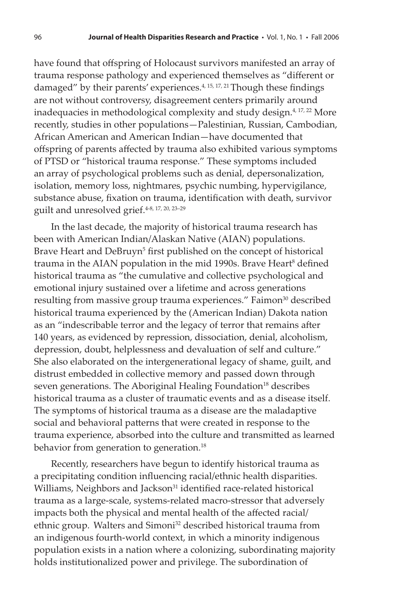have found that offspring of Holocaust survivors manifested an array of trauma response pathology and experienced themselves as "different or damaged" by their parents' experiences.<sup>4, 15, 17, 21</sup> Though these findings are not without controversy, disagreement centers primarily around inadequacies in methodological complexity and study design.<sup>4, 17, 22</sup> More recently, studies in other populations—Palestinian, Russian, Cambodian, African American and American Indian—have documented that offspring of parents affected by trauma also exhibited various symptoms of PTSD or "historical trauma response." These symptoms included an array of psychological problems such as denial, depersonalization, isolation, memory loss, nightmares, psychic numbing, hypervigilance, substance abuse, fixation on trauma, identification with death, survivor guilt and unresolved grief.4-8, 17, 20, 23–29

In the last decade, the majority of historical trauma research has been with American Indian/Alaskan Native (AIAN) populations. Brave Heart and DeBruyn<sup>5</sup> first published on the concept of historical trauma in the AIAN population in the mid 1990s. Brave Heart<sup>8</sup> defined historical trauma as "the cumulative and collective psychological and emotional injury sustained over a lifetime and across generations resulting from massive group trauma experiences." Faimon<sup>30</sup> described historical trauma experienced by the (American Indian) Dakota nation as an "indescribable terror and the legacy of terror that remains after 140 years, as evidenced by repression, dissociation, denial, alcoholism, depression, doubt, helplessness and devaluation of self and culture." She also elaborated on the intergenerational legacy of shame, guilt, and distrust embedded in collective memory and passed down through seven generations. The Aboriginal Healing Foundation<sup>18</sup> describes historical trauma as a cluster of traumatic events and as a disease itself. The symptoms of historical trauma as a disease are the maladaptive social and behavioral patterns that were created in response to the trauma experience, absorbed into the culture and transmitted as learned behavior from generation to generation.<sup>18</sup>

Recently, researchers have begun to identify historical trauma as a precipitating condition influencing racial/ethnic health disparities. Williams, Neighbors and Jackson<sup>31</sup> identified race-related historical trauma as a large-scale, systems-related macro-stressor that adversely impacts both the physical and mental health of the affected racial/ ethnic group. Walters and Simoni<sup>32</sup> described historical trauma from an indigenous fourth-world context, in which a minority indigenous population exists in a nation where a colonizing, subordinating majority holds institutionalized power and privilege. The subordination of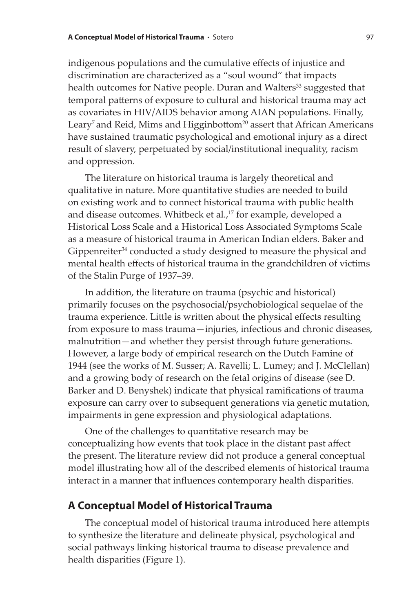indigenous populations and the cumulative effects of injustice and discrimination are characterized as a "soul wound" that impacts health outcomes for Native people. Duran and Walters<sup>33</sup> suggested that temporal patterns of exposure to cultural and historical trauma may act as covariates in HIV/AIDS behavior among AIAN populations. Finally, Leary<sup>7</sup> and Reid, Mims and Higginbottom<sup>20</sup> assert that African Americans have sustained traumatic psychological and emotional injury as a direct result of slavery, perpetuated by social/institutional inequality, racism and oppression.

The literature on historical trauma is largely theoretical and qualitative in nature. More quantitative studies are needed to build on existing work and to connect historical trauma with public health and disease outcomes. Whitbeck et al.,<sup>17</sup> for example, developed a Historical Loss Scale and a Historical Loss Associated Symptoms Scale as a measure of historical trauma in American Indian elders. Baker and Gippenreiter<sup>34</sup> conducted a study designed to measure the physical and mental health effects of historical trauma in the grandchildren of victims of the Stalin Purge of 1937–39.

In addition, the literature on trauma (psychic and historical) primarily focuses on the psychosocial/psychobiological sequelae of the trauma experience. Little is written about the physical effects resulting from exposure to mass trauma—injuries, infectious and chronic diseases, malnutrition—and whether they persist through future generations. However, a large body of empirical research on the Dutch Famine of 1944 (see the works of M. Susser; A. Ravelli; L. Lumey; and J. McClellan) and a growing body of research on the fetal origins of disease (see D. Barker and D. Benyshek) indicate that physical ramifications of trauma exposure can carry over to subsequent generations via genetic mutation, impairments in gene expression and physiological adaptations.

One of the challenges to quantitative research may be conceptualizing how events that took place in the distant past affect the present. The literature review did not produce a general conceptual model illustrating how all of the described elements of historical trauma interact in a manner that influences contemporary health disparities.

#### **A Conceptual Model of Historical Trauma**

The conceptual model of historical trauma introduced here attempts to synthesize the literature and delineate physical, psychological and social pathways linking historical trauma to disease prevalence and health disparities (Figure 1).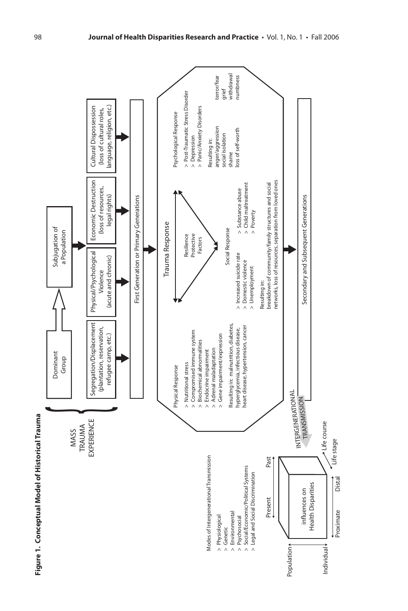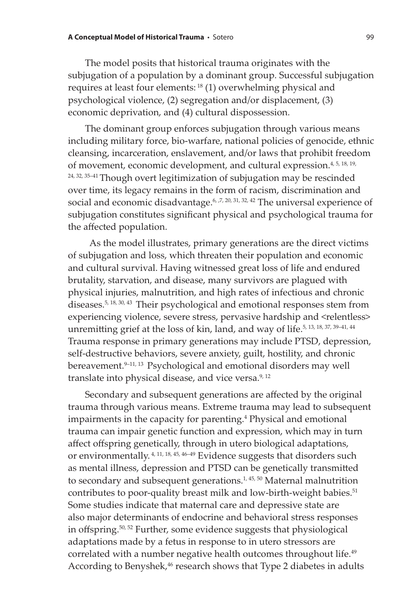The model posits that historical trauma originates with the subjugation of a population by a dominant group. Successful subjugation requires at least four elements: 18 (1) overwhelming physical and psychological violence, (2) segregation and/or displacement, (3) economic deprivation, and (4) cultural dispossession.

The dominant group enforces subjugation through various means including military force, bio-warfare, national policies of genocide, ethnic cleansing, incarceration, enslavement, and/or laws that prohibit freedom of movement, economic development, and cultural expression.<sup>4, 5, 18, 19,</sup> <sup>24, 32, 35-41</sup> Though overt legitimization of subjugation may be rescinded over time, its legacy remains in the form of racism, discrimination and social and economic disadvantage.<sup> $6, 7, 20, 31, 32, 42$ </sup> The universal experience of subjugation constitutes significant physical and psychological trauma for the affected population.

 As the model illustrates, primary generations are the direct victims of subjugation and loss, which threaten their population and economic and cultural survival. Having witnessed great loss of life and endured brutality, starvation, and disease, many survivors are plagued with physical injuries, malnutrition, and high rates of infectious and chronic diseases.5, 18, 30, 43 Their psychological and emotional responses stem from experiencing violence, severe stress, pervasive hardship and <relentless> unremitting grief at the loss of kin, land, and way of life.<sup>5, 13, 18, 37, 39-41, 44</sup> Trauma response in primary generations may include PTSD, depression, self-destructive behaviors, severe anxiety, guilt, hostility, and chronic bereavement.<sup>9-11, 13</sup> Psychological and emotional disorders may well translate into physical disease, and vice versa. $9,12$ 

Secondary and subsequent generations are affected by the original trauma through various means. Extreme trauma may lead to subsequent impairments in the capacity for parenting.4 Physical and emotional trauma can impair genetic function and expression, which may in turn affect offspring genetically, through in utero biological adaptations, or environmentally.<sup>4, 11, 18, 45, 46-49</sup> Evidence suggests that disorders such as mental illness, depression and PTSD can be genetically transmitted to secondary and subsequent generations. $1, 45, 50$  Maternal malnutrition contributes to poor-quality breast milk and low-birth-weight babies.<sup>51</sup> Some studies indicate that maternal care and depressive state are also major determinants of endocrine and behavioral stress responses in offspring.<sup>50, 52</sup> Further, some evidence suggests that physiological adaptations made by a fetus in response to in utero stressors are correlated with a number negative health outcomes throughout life.<sup>49</sup> According to Benyshek,<sup>46</sup> research shows that Type 2 diabetes in adults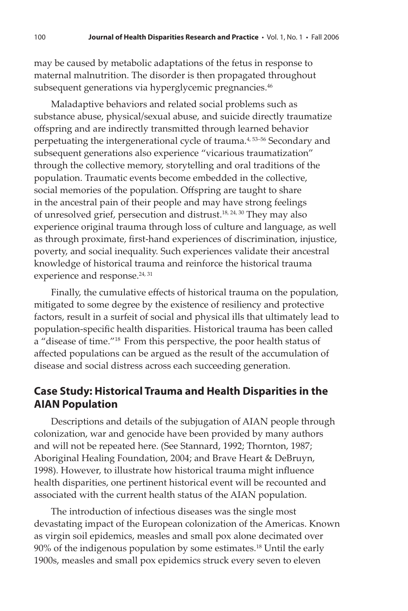may be caused by metabolic adaptations of the fetus in response to maternal malnutrition. The disorder is then propagated throughout subsequent generations via hyperglycemic pregnancies.<sup>46</sup>

Maladaptive behaviors and related social problems such as substance abuse, physical/sexual abuse, and suicide directly traumatize offspring and are indirectly transmitted through learned behavior perpetuating the intergenerational cycle of trauma.4, 53–56 Secondary and subsequent generations also experience "vicarious traumatization" through the collective memory, storytelling and oral traditions of the population. Traumatic events become embedded in the collective, social memories of the population. Offspring are taught to share in the ancestral pain of their people and may have strong feelings of unresolved grief, persecution and distrust.<sup>18, 24, 30</sup> They may also experience original trauma through loss of culture and language, as well as through proximate, first-hand experiences of discrimination, injustice, poverty, and social inequality. Such experiences validate their ancestral knowledge of historical trauma and reinforce the historical trauma experience and response.<sup>24, 31</sup>

Finally, the cumulative effects of historical trauma on the population, mitigated to some degree by the existence of resiliency and protective factors, result in a surfeit of social and physical ills that ultimately lead to population-specific health disparities. Historical trauma has been called a "disease of time."18 From this perspective, the poor health status of affected populations can be argued as the result of the accumulation of disease and social distress across each succeeding generation.

### **Case Study: Historical Trauma and Health Disparities in the AIAN Population**

Descriptions and details of the subjugation of AIAN people through colonization, war and genocide have been provided by many authors and will not be repeated here. (See Stannard, 1992; Thornton, 1987; Aboriginal Healing Foundation, 2004; and Brave Heart & DeBruyn, 1998). However, to illustrate how historical trauma might influence health disparities, one pertinent historical event will be recounted and associated with the current health status of the AIAN population.

The introduction of infectious diseases was the single most devastating impact of the European colonization of the Americas. Known as virgin soil epidemics, measles and small pox alone decimated over  $90\%$  of the indigenous population by some estimates.<sup>18</sup> Until the early 1900s, measles and small pox epidemics struck every seven to eleven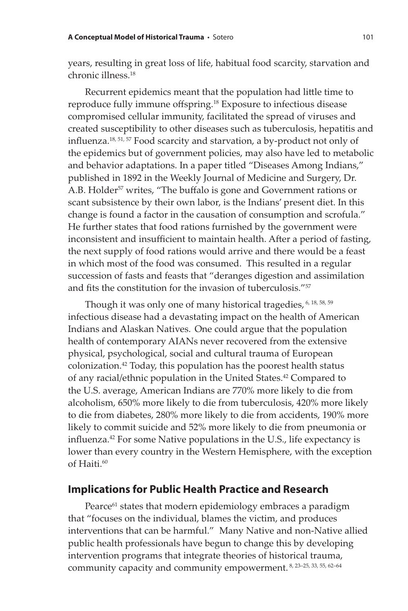years, resulting in great loss of life, habitual food scarcity, starvation and chronic illness.18

Recurrent epidemics meant that the population had little time to reproduce fully immune offspring.<sup>18</sup> Exposure to infectious disease compromised cellular immunity, facilitated the spread of viruses and created susceptibility to other diseases such as tuberculosis, hepatitis and influenza.<sup>18, 51, 57</sup> Food scarcity and starvation, a by-product not only of the epidemics but of government policies, may also have led to metabolic and behavior adaptations. In a paper titled "Diseases Among Indians," published in 1892 in the Weekly Journal of Medicine and Surgery, Dr. A.B. Holder<sup>57</sup> writes, "The buffalo is gone and Government rations or scant subsistence by their own labor, is the Indians' present diet. In this change is found a factor in the causation of consumption and scrofula." He further states that food rations furnished by the government were inconsistent and insufficient to maintain health. After a period of fasting, the next supply of food rations would arrive and there would be a feast in which most of the food was consumed. This resulted in a regular succession of fasts and feasts that "deranges digestion and assimilation and fits the constitution for the invasion of tuberculosis."<sup>57</sup>

Though it was only one of many historical tragedies, <sup>6, 18, 58, 59</sup> infectious disease had a devastating impact on the health of American Indians and Alaskan Natives. One could argue that the population health of contemporary AIANs never recovered from the extensive physical, psychological, social and cultural trauma of European colonization.42 Today, this population has the poorest health status of any racial/ethnic population in the United States.<sup>42</sup> Compared to the U.S. average, American Indians are 770% more likely to die from alcoholism, 650% more likely to die from tuberculosis, 420% more likely to die from diabetes, 280% more likely to die from accidents, 190% more likely to commit suicide and 52% more likely to die from pneumonia or influenza.<sup>42</sup> For some Native populations in the U.S., life expectancy is lower than every country in the Western Hemisphere, with the exception of Haiti.<sup>60</sup>

#### **Implications for Public Health Practice and Research**

Pearce<sup>61</sup> states that modern epidemiology embraces a paradigm that "focuses on the individual, blames the victim, and produces interventions that can be harmful." Many Native and non-Native allied public health professionals have begun to change this by developing intervention programs that integrate theories of historical trauma, community capacity and community empowerment. 8, 23–25, 33, 55, 62–64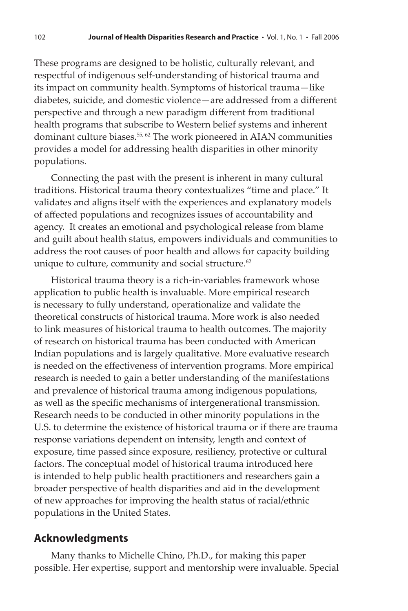These programs are designed to be holistic, culturally relevant, and respectful of indigenous self-understanding of historical trauma and its impact on community health. Symptoms of historical trauma—like diabetes, suicide, and domestic violence—are addressed from a different perspective and through a new paradigm different from traditional health programs that subscribe to Western belief systems and inherent dominant culture biases.<sup>55, 62</sup> The work pioneered in AIAN communities provides a model for addressing health disparities in other minority populations.

Connecting the past with the present is inherent in many cultural traditions. Historical trauma theory contextualizes "time and place." It validates and aligns itself with the experiences and explanatory models of affected populations and recognizes issues of accountability and agency. It creates an emotional and psychological release from blame and guilt about health status, empowers individuals and communities to address the root causes of poor health and allows for capacity building unique to culture, community and social structure. $62$ 

Historical trauma theory is a rich-in-variables framework whose application to public health is invaluable. More empirical research is necessary to fully understand, operationalize and validate the theoretical constructs of historical trauma. More work is also needed to link measures of historical trauma to health outcomes. The majority of research on historical trauma has been conducted with American Indian populations and is largely qualitative. More evaluative research is needed on the effectiveness of intervention programs. More empirical research is needed to gain a better understanding of the manifestations and prevalence of historical trauma among indigenous populations, as well as the specific mechanisms of intergenerational transmission. Research needs to be conducted in other minority populations in the U.S. to determine the existence of historical trauma or if there are trauma response variations dependent on intensity, length and context of exposure, time passed since exposure, resiliency, protective or cultural factors. The conceptual model of historical trauma introduced here is intended to help public health practitioners and researchers gain a broader perspective of health disparities and aid in the development of new approaches for improving the health status of racial/ethnic populations in the United States.

#### **Acknowledgments**

Many thanks to Michelle Chino, Ph.D., for making this paper possible. Her expertise, support and mentorship were invaluable. Special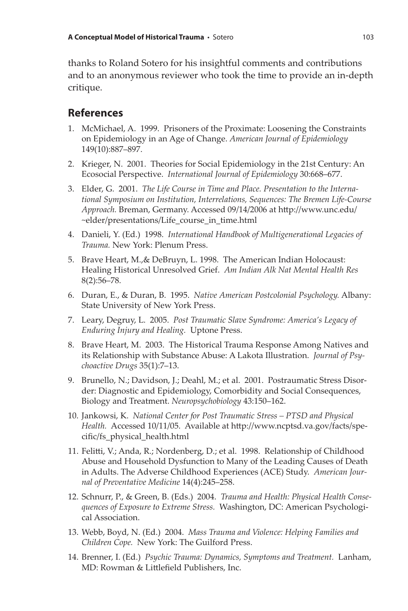thanks to Roland Sotero for his insightful comments and contributions and to an anonymous reviewer who took the time to provide an in-depth critique.

#### **References**

- 1. McMichael, A. 1999. Prisoners of the Proximate: Loosening the Constraints on Epidemiology in an Age of Change. *American Journal of Epidemiology* 149(10):887–897.
- 2. Krieger, N. 2001. Theories for Social Epidemiology in the 21st Century: An Ecosocial Perspective. *International Journal of Epidemiology* 30:668–677.
- 3. Elder, G. 2001. *The Life Course in Time and Place. Presentation to the International Symposium on Institution, Interrelations, Sequences: The Bremen Life-Course*  Approach. Breman, Germany. Accessed 09/14/2006 at http://www.unc.edu/ ~elder/presentations/Life\_course\_in\_time.html
- 4. Danieli, Y. (Ed.) 1998. *International Handbook of Multigenerational Legacies of Trauma.* New York: Plenum Press.
- 5. Brave Heart, M.,& DeBruyn, L. 1998. The American Indian Holocaust: Healing Historical Unresolved Grief. *Am Indian Alk Nat Mental Health Res* 8(2):56–78.
- 6. Duran, E., & Duran, B. 1995. *Native American Postcolonial Psychology.* Albany: State University of New York Press.
- 7. Leary, Degruy, L. 2005. *Post Traumatic Slave Syndrome: America's Legacy of Enduring Injury and Healing.* Uptone Press.
- 8. Brave Heart, M. 2003. The Historical Trauma Response Among Natives and its Relationship with Substance Abuse: A Lakota Illustration. *Journal of Psychoactive Drugs* 35(1):7–13.
- 9. Brunello, N.; Davidson, J.; Deahl, M.; et al. 2001. Postraumatic Stress Disorder: Diagnostic and Epidemiology, Comorbidity and Social Consequences, Biology and Treatment. *Neuropsychobiology* 43:150–162.
- 10. Jankowsi, K. *National Center for Post Traumatic Stress PTSD and Physical*  Health. Accessed 10/11/05. Available at http://www.ncptsd.va.gov/facts/specific/fs\_physical\_health.html
- 11. Felitti, V.; Anda, R.; Nordenberg, D.; et al. 1998. Relationship of Childhood Abuse and Household Dysfunction to Many of the Leading Causes of Death in Adults. The Adverse Childhood Experiences (ACE) Study. *American Journal of Preventative Medicine* 14(4):245–258.
- 12. Schnurr, P., & Green, B. (Eds.) 2004. *Trauma and Health: Physical Health Consequences of Exposure to Extreme Stress.* Washington, DC: American Psychological Association.
- 13. Webb, Boyd, N. (Ed.) 2004. *Mass Trauma and Violence: Helping Families and Children Cope.* New York: The Guilford Press.
- 14. Brenner, I. (Ed.) *Psychic Trauma: Dynamics, Symptoms and Treatment.* Lanham, MD: Rowman & Littlefield Publishers, Inc.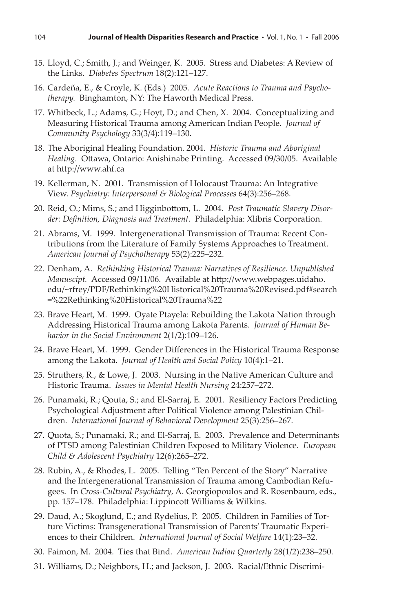- 15. Lloyd, C.; Smith, J.; and Weinger, K. 2005. Stress and Diabetes: A Review of the Links. *Diabetes Spectrum* 18(2):121–127.
- 16. Cardeña, E., & Croyle, K. (Eds.) 2005. *Acute Reactions to Trauma and Psychotherapy.* Binghamton, NY: The Haworth Medical Press.
- 17. Whitbeck, L.; Adams, G.; Hoyt, D.; and Chen, X. 2004. Conceptualizing and Measuring Historical Trauma among American Indian People. *Journal of Community Psychology* 33(3/4):119–130.
- 18. The Aboriginal Healing Foundation. 2004. *Historic Trauma and Aboriginal*  Healing. Ottawa, Ontario: Anishinabe Printing. Accessed 09/30/05. Available at http://www.ahf.ca
- 19. Kellerman, N. 2001. Transmission of Holocaust Trauma: An Integrative View. *Psychiatry: Interpersonal & Biological Processes* 64(3):256–268.
- 20. Reid, O.; Mims, S.; and Higginbottom, L. 2004. *Post Traumatic Slavery Disorder: Defi nition, Diagnosis and Treatment.* Philadelphia: Xlibris Corporation.
- 21. Abrams, M. 1999. Intergenerational Transmission of Trauma: Recent Contributions from the Literature of Family Systems Approaches to Treatment. *American Journal of Psychotherapy* 53(2):225–232.
- 22. Denham, A. *Rethinking Historical Trauma: Narratives of Resilience. Unpublished Manuscipt.* Accessed 09/11/06. Available at http://www.webpages.uidaho. edu/~rfrey/PDF/Rethinking%20Historical%20Trauma%20Revised.pdf#search =%22Rethinking%20Historical%20Trauma%22
- 23. Brave Heart, M. 1999. Oyate Ptayela: Rebuilding the Lakota Nation through Addressing Historical Trauma among Lakota Parents. *Journal of Human Behavior in the Social Environment* 2(1/2):109–126.
- 24. Brave Heart, M. 1999. Gender Differences in the Historical Trauma Response among the Lakota. *Journal of Health and Social Policy* 10(4):1–21.
- 25. Struthers, R., & Lowe, J. 2003. Nursing in the Native American Culture and Historic Trauma. *Issues in Mental Health Nursing* 24:257–272.
- 26. Punamaki, R.; Qouta, S.; and El-Sarraj, E. 2001. Resiliency Factors Predicting Psychological Adjustment after Political Violence among Palestinian Children. *International Journal of Behavioral Development* 25(3):256–267.
- 27. Quota, S.; Punamaki, R.; and El-Sarraj, E. 2003. Prevalence and Determinants of PTSD among Palestinian Children Exposed to Military Violence. *European Child & Adolescent Psychiatry* 12(6):265–272.
- 28. Rubin, A., & Rhodes, L. 2005. Telling "Ten Percent of the Story" Narrative and the Intergenerational Transmission of Trauma among Cambodian Refugees. In *Cross-Cultural Psychiatry*, A. Georgiopoulos and R. Rosenbaum, eds., pp. 157–178. Philadelphia: Lippincott Williams & Wilkins.
- 29. Daud, A.; Skoglund, E.; and Rydelius, P. 2005. Children in Families of Torture Victims: Transgenerational Transmission of Parents' Traumatic Experiences to their Children. *International Journal of Social Welfare* 14(1):23–32.
- 30. Faimon, M. 2004. Ties that Bind. *American Indian Quarterly* 28(1/2):238–250.
- 31. Williams, D.; Neighbors, H.; and Jackson, J. 2003. Racial/Ethnic Discrimi-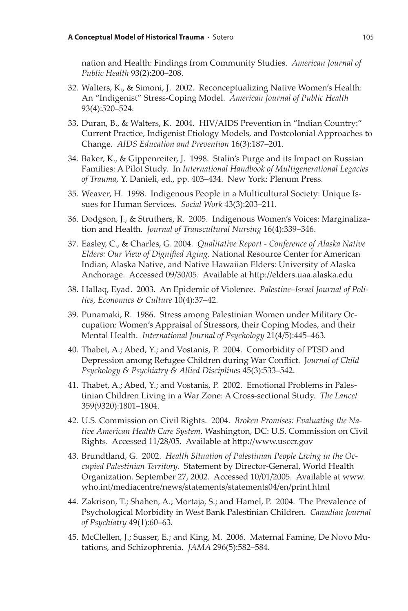nation and Health: Findings from Community Studies. *American Journal of Public Health* 93(2):200–208.

- 32. Walters, K., & Simoni, J. 2002. Reconceptualizing Native Women's Health: An "Indigenist" Stress-Coping Model. *American Journal of Public Health* 93(4):520–524.
- 33. Duran, B., & Walters, K. 2004. HIV/AIDS Prevention in "Indian Country:" Current Practice, Indigenist Etiology Models, and Postcolonial Approaches to Change. *AIDS Education and Prevention* 16(3):187–201.
- 34. Baker, K., & Gippenreiter, J. 1998. Stalin's Purge and its Impact on Russian Families: A Pilot Study. In *International Handbook of Multigenerational Legacies of Trauma*, Y. Danieli, ed., pp. 403–434. New York: Plenum Press.
- 35. Weaver, H. 1998. Indigenous People in a Multicultural Society: Unique Issues for Human Services. *Social Work* 43(3):203–211.
- 36. Dodgson, J., & Struthers, R. 2005. Indigenous Women's Voices: Marginalization and Health. *Journal of Transcultural Nursing* 16(4):339–346.
- 37. Easley, C., & Charles, G. 2004. *Qualitative Report Conference of Alaska Native Elders: Our View of Dignified Aging.* National Resource Center for American Indian, Alaska Native, and Native Hawaiian Elders: University of Alaska Anchorage. Accessed 09/30/05. Available at http://elders.uaa.alaska.edu
- 38. Hallaq, Eyad. 2003. An Epidemic of Violence. *Palestine–Israel Journal of Politics, Economics & Culture* 10(4):37–42.
- 39. Punamaki, R. 1986. Stress among Palestinian Women under Military Occupation: Women's Appraisal of Stressors, their Coping Modes, and their Mental Health. *International Journal of Psychology* 21(4/5):445–463.
- 40. Thabet, A.; Abed, Y.; and Vostanis, P. 2004. Comorbidity of PTSD and Depression among Refugee Children during War Conflict. Journal of Child *Psychology & Psychiatry & Allied Disciplines* 45(3):533–542.
- 41. Thabet, A.; Abed, Y.; and Vostanis, P. 2002. Emotional Problems in Palestinian Children Living in a War Zone: A Cross-sectional Study. *The Lancet* 359(9320):1801–1804.
- 42. U.S. Commission on Civil Rights. 2004. *Broken Promises: Evaluating the Native American Health Care System.* Washington, DC: U.S. Commission on Civil Rights. Accessed 11/28/05. Available at http://www.usccr.gov
- 43. Brundtland, G. 2002. *Health Situation of Palestinian People Living in the Occupied Palestinian Territory.* Statement by Director-General, World Health Organization. September 27, 2002. Accessed 10/01/2005. Available at www. who.int/mediacentre/news/statements/statements04/en/print.html
- 44. Zakrison, T.; Shahen, A.; Mortaja, S.; and Hamel, P. 2004. The Prevalence of Psychological Morbidity in West Bank Palestinian Children. *Canadian Journal of Psychiatry* 49(1):60–63.
- 45. McClellen, J.; Susser, E.; and King, M. 2006. Maternal Famine, De Novo Mutations, and Schizophrenia. *JAMA* 296(5):582–584.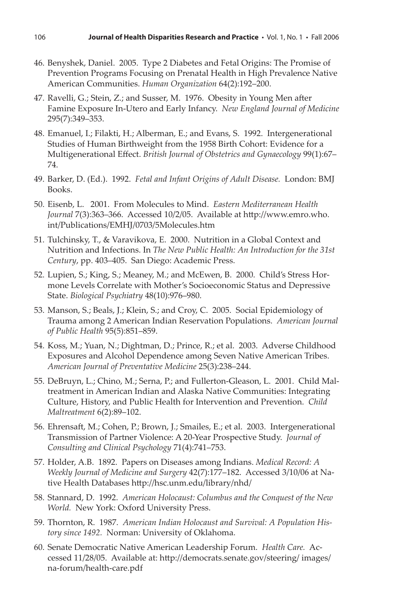- 46. Benyshek, Daniel. 2005. Type 2 Diabetes and Fetal Origins: The Promise of Prevention Programs Focusing on Prenatal Health in High Prevalence Native American Communities. *Human Organization* 64(2):192–200.
- 47. Ravelli, G.; Stein, Z.; and Susser, M. 1976. Obesity in Young Men after Famine Exposure In-Utero and Early Infancy. *New England Journal of Medicine* 295(7):349–353.
- 48. Emanuel, I.; Filakti, H.; Alberman, E.; and Evans, S. 1992. Intergenerational Studies of Human Birthweight from the 1958 Birth Cohort: Evidence for a Multigenerational Eff ect. *British Journal of Obstetrics and Gynaecology* 99(1):67– 74.
- 49. Barker, D. (Ed.). 1992. *Fetal and Infant Origins of Adult Disease.* London: BMJ Books.
- 50. Eisenb, L. 2001. From Molecules to Mind. *Eastern Mediterranean Health*  Journal 7(3):363-366. Accessed 10/2/05. Available at http://www.emro.who. int/Publications/EMHJ/0703/5Molecules.htm
- 51. Tulchinsky, T., & Varavikova, E. 2000. Nutrition in a Global Context and Nutrition and Infections. In *The New Public Health: An Introduction for the 31st Century*, pp. 403–405. San Diego: Academic Press.
- 52. Lupien, S.; King, S.; Meaney, M.; and McEwen, B. 2000. Child's Stress Hormone Levels Correlate with Mother's Socioeconomic Status and Depressive State. *Biological Psychiatry* 48(10):976–980.
- 53. Manson, S.; Beals, J.; Klein, S.; and Croy, C. 2005. Social Epidemiology of Trauma among 2 American Indian Reservation Populations. *American Journal of Public Health* 95(5):851–859.
- 54. Koss, M.; Yuan, N.; Dightman, D.; Prince, R.; et al. 2003. Adverse Childhood Exposures and Alcohol Dependence among Seven Native American Tribes. *American Journal of Preventative Medicine* 25(3):238–244.
- 55. DeBruyn, L.; Chino, M.; Serna, P.; and Fullerton-Gleason, L. 2001. Child Maltreatment in American Indian and Alaska Native Communities: Integrating Culture, History, and Public Health for Intervention and Prevention. *Child Maltreatment* 6(2):89–102.
- 56. Ehrensaft, M.; Cohen, P.; Brown, J.; Smailes, E.; et al. 2003. Intergenerational Transmission of Partner Violence: A 20-Year Prospective Study. *Journal of Consulting and Clinical Psychology* 71(4):741–753.
- 57. Holder, A.B. 1892. Papers on Diseases among Indians. *Medical Record: A Weekly Journal of Medicine and Surgery* 42(7):177–182. Accessed 3/10/06 at Native Health Databases http://hsc.unm.edu/library/nhd/
- 58. Stannard, D. 1992. *American Holocaust: Columbus and the Conquest of the New World.* New York: Oxford University Press.
- 59. Thornton, R. 1987. *American Indian Holocaust and Survival: A Population History since 1492.* Norman: University of Oklahoma.
- 60. Senate Democratic Native American Leadership Forum. *Health Care.* Accessed 11/28/05. Available at: http://democrats.senate.gov/steering/ images/ na-forum/health-care.pdf